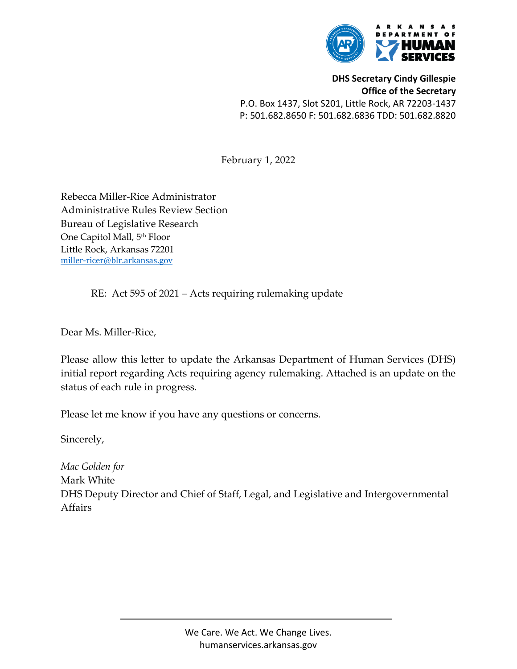

**DHS Secretary Cindy Gillespie Office of the Secretary** P.O. Box 1437, Slot S201, Little Rock, AR 72203-1437 P: 501.682.8650 F: 501.682.6836 TDD: 501.682.8820

February 1, 2022

Rebecca Miller-Rice Administrator Administrative Rules Review Section Bureau of Legislative Research One Capitol Mall, 5<sup>th</sup> Floor Little Rock, Arkansas 72201 [miller-ricer@blr.arkansas.gov](mailto:miller-ricer@blr.arkansas.gov)

RE: Act 595 of 2021 – Acts requiring rulemaking update

Dear Ms. Miller-Rice,

Please allow this letter to update the Arkansas Department of Human Services (DHS) initial report regarding Acts requiring agency rulemaking. Attached is an update on the status of each rule in progress.

Please let me know if you have any questions or concerns.

Sincerely,

*Mac Golden for* Mark White DHS Deputy Director and Chief of Staff, Legal, and Legislative and Intergovernmental Affairs